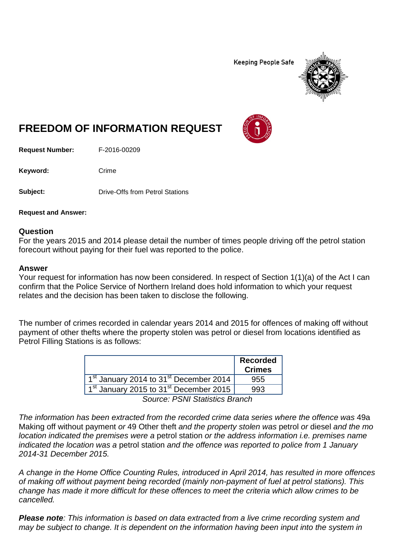**Keeping People Safe** 



## **FREEDOM OF INFORMATION REQUEST**

**Request Number:** F-2016-00209

Keyword: Crime

**Subject:** Drive-Offs from Petrol Stations

**Request and Answer:**

## **Question**

For the years 2015 and 2014 please detail the number of times people driving off the petrol station forecourt without paying for their fuel was reported to the police.

## **Answer**

Your request for information has now been considered. In respect of Section 1(1)(a) of the Act I can confirm that the Police Service of Northern Ireland does hold information to which your request relates and the decision has been taken to disclose the following.

The number of crimes recorded in calendar years 2014 and 2015 for offences of making off without payment of other thefts where the property stolen was petrol or diesel from locations identified as Petrol Filling Stations is as follows:

|                                                                | <b>Recorded</b><br><b>Crimes</b> |
|----------------------------------------------------------------|----------------------------------|
| 1 <sup>st</sup> January 2014 to 31 <sup>st</sup> December 2014 | 955                              |
| 1 <sup>st</sup> January 2015 to 31 <sup>st</sup> December 2015 | 993                              |
| <b>Source: PSNI Statistics Branch</b>                          |                                  |

*The information has been extracted from the recorded crime data series where the offence was* 49a Making off without payment *or* 49 Other theft *and the property stolen was* petrol *or* diesel *and the mo location indicated the premises were a* petrol station *or the address information i.e. premises name indicated the location was a* petrol station *and the offence was reported to police from 1 January 2014-31 December 2015.* 

*A change in the Home Office Counting Rules, introduced in April 2014, has resulted in more offences of making off without payment being recorded (mainly non-payment of fuel at petrol stations). This change has made it more difficult for these offences to meet the criteria which allow crimes to be cancelled.*

*Please note: This information is based on data extracted from a live crime recording system and may be subject to change. It is dependent on the information having been input into the system in*